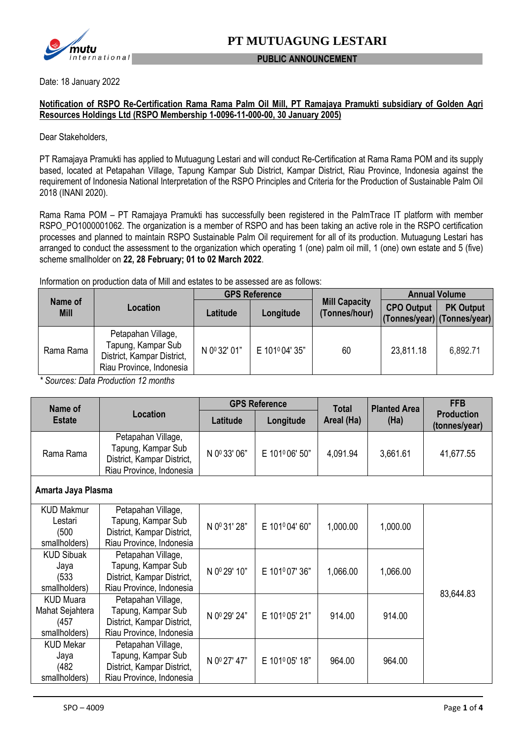

#### **PUBLIC ANNOUNCEMENT**

Date: 18 January 2022

### **Notification of RSPO Re-Certification Rama Rama Palm Oil Mill, PT Ramajaya Pramukti subsidiary of Golden Agri Resources Holdings Ltd (RSPO Membership 1-0096-11-000-00, 30 January 2005)**

Dear Stakeholders,

PT Ramajaya Pramukti has applied to Mutuagung Lestari and will conduct Re-Certification at Rama Rama POM and its supply based, located at Petapahan Village, Tapung Kampar Sub District, Kampar District, Riau Province, Indonesia against the requirement of Indonesia National Interpretation of the RSPO Principles and Criteria for the Production of Sustainable Palm Oil 2018 (INANI 2020).

Rama Rama POM – PT Ramajaya Pramukti has successfully been registered in the PalmTrace IT platform with member RSPO\_PO1000001062. The organization is a member of RSPO and has been taking an active role in the RSPO certification processes and planned to maintain RSPO Sustainable Palm Oil requirement for all of its production. Mutuagung Lestari has arranged to conduct the assessment to the organization which operating 1 (one) palm oil mill, 1 (one) own estate and 5 (five) scheme smallholder on **22, 28 February; 01 to 02 March 2022**.

Information on production data of Mill and estates to be assessed are as follows:

|                        | Location                                                                                           | <b>GPS Reference</b> |               |                                       |                   | <b>Annual Volume</b>                            |  |
|------------------------|----------------------------------------------------------------------------------------------------|----------------------|---------------|---------------------------------------|-------------------|-------------------------------------------------|--|
| Name of<br><b>Mill</b> |                                                                                                    | Latitude             | Longitude     | <b>Mill Capacity</b><br>(Tonnes/hour) | <b>CPO Output</b> | <b>PK Output</b><br>(Tonnes/year) (Tonnes/year) |  |
| Rama Rama              | Petapahan Village,<br>Tapung, Kampar Sub<br>District, Kampar District,<br>Riau Province, Indonesia | N 0º 32' 01"         | E 101º04' 35" | 60                                    | 23,811.18         | 6,892.71                                        |  |

*\* Sources: Data Production 12 months*

| Name of                                                       | <b>Location</b>                                                                                    | <b>GPS Reference</b> |               | <b>Total</b> | <b>Planted Area</b> | <b>FFB</b>                         |
|---------------------------------------------------------------|----------------------------------------------------------------------------------------------------|----------------------|---------------|--------------|---------------------|------------------------------------|
| <b>Estate</b>                                                 |                                                                                                    | Latitude             | Longitude     | Areal (Ha)   | (Ha)                | <b>Production</b><br>(tonnes/year) |
| Rama Rama                                                     | Petapahan Village,<br>Tapung, Kampar Sub<br>District, Kampar District,<br>Riau Province, Indonesia | N 0º 33' 06"         | E 101º06' 50" | 4,091.94     | 3,661.61            | 41,677.55                          |
| Amarta Jaya Plasma                                            |                                                                                                    |                      |               |              |                     |                                    |
| <b>KUD Makmur</b><br>Lestari<br>(500)<br>smallholders)        | Petapahan Village,<br>Tapung, Kampar Sub<br>District, Kampar District,<br>Riau Province, Indonesia | N 0º 31' 28"         | E 101º04'60"  | 1,000.00     | 1,000.00            |                                    |
| <b>KUD Sibuak</b><br>Jaya<br>(533)<br>smallholders)           | Petapahan Village,<br>Tapung, Kampar Sub<br>District, Kampar District,<br>Riau Province, Indonesia | N 0º 29' 10"         | E 101º07' 36" | 1,066.00     | 1,066.00            | 83,644.83                          |
| <b>KUD Muara</b><br>Mahat Sejahtera<br>(457)<br>smallholders) | Petapahan Village,<br>Tapung, Kampar Sub<br>District, Kampar District,<br>Riau Province, Indonesia | N 0º 29' 24"         | E 101º05' 21" | 914.00       | 914.00              |                                    |
| <b>KUD Mekar</b><br>Jaya<br>(482)<br>smallholders)            | Petapahan Village,<br>Tapung, Kampar Sub<br>District, Kampar District,<br>Riau Province, Indonesia | N 0º 27' 47"         | E 101º05' 18" | 964.00       | 964.00              |                                    |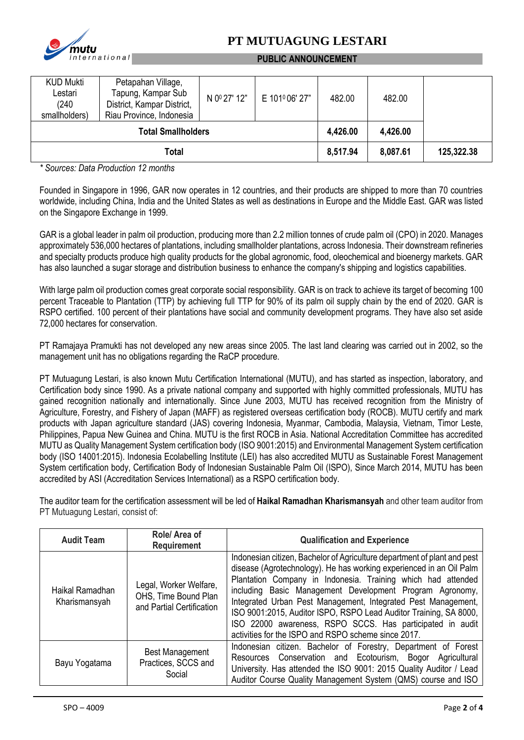

## **PT MUTUAGUNG LESTARI**

### **PUBLIC ANNOUNCEMENT**

| <b>KUD Mukti</b><br>Lestari<br>(240)<br>smallholders) | Petapahan Village,<br>Tapung, Kampar Sub<br>District, Kampar District,<br>Riau Province, Indonesia | N 0 <sup>0</sup> 27' 12" | E 101º06' 27" | 482.00   | 482.00     |  |
|-------------------------------------------------------|----------------------------------------------------------------------------------------------------|--------------------------|---------------|----------|------------|--|
| <b>Total Smallholders</b>                             |                                                                                                    |                          | 4,426.00      | 4,426.00 |            |  |
| Total                                                 |                                                                                                    |                          | 8,517.94      | 8,087.61 | 125,322.38 |  |

*\* Sources: Data Production 12 months*

Founded in Singapore in 1996, GAR now operates in 12 countries, and their products are shipped to more than 70 countries worldwide, including China, India and the United States as well as destinations in Europe and the Middle East. GAR was listed on the Singapore Exchange in 1999.

GAR is a global leader in palm oil production, producing more than 2.2 million tonnes of crude palm oil (CPO) in 2020. Manages approximately 536,000 hectares of plantations, including smallholder plantations, across Indonesia. Their downstream refineries and specialty products produce high quality products for the global agronomic, food, oleochemical and bioenergy markets. GAR has also launched a sugar storage and distribution business to enhance the company's shipping and logistics capabilities.

With large palm oil production comes great corporate social responsibility. GAR is on track to achieve its target of becoming 100 percent Traceable to Plantation (TTP) by achieving full TTP for 90% of its palm oil supply chain by the end of 2020. GAR is RSPO certified. 100 percent of their plantations have social and community development programs. They have also set aside 72,000 hectares for conservation.

PT Ramajaya Pramukti has not developed any new areas since 2005. The last land clearing was carried out in 2002, so the management unit has no obligations regarding the RaCP procedure.

PT Mutuagung Lestari, is also known Mutu Certification International (MUTU), and has started as inspection, laboratory, and Certification body since 1990. As a private national company and supported with highly committed professionals, MUTU has gained recognition nationally and internationally. Since June 2003, MUTU has received recognition from the Ministry of Agriculture, Forestry, and Fishery of Japan (MAFF) as registered overseas certification body (ROCB). MUTU certify and mark products with Japan agriculture standard (JAS) covering Indonesia, Myanmar, Cambodia, Malaysia, Vietnam, Timor Leste, Philippines, Papua New Guinea and China. MUTU is the first ROCB in Asia. National Accreditation Committee has accredited MUTU as Quality Management System certification body (ISO 9001:2015) and Environmental Management System certification body (ISO 14001:2015). Indonesia Ecolabelling Institute (LEI) has also accredited MUTU as Sustainable Forest Management System certification body, Certification Body of Indonesian Sustainable Palm Oil (ISPO), Since March 2014, MUTU has been accredited by ASI (Accreditation Services International) as a RSPO certification body.

The auditor team for the certification assessment will be led of **Haikal Ramadhan Kharismansyah** and other team auditor from PT Mutuagung Lestari, consist of:

| <b>Audit Team</b>                | Role/ Area of<br><b>Requirement</b>                                         | <b>Qualification and Experience</b>                                                                                                                                                                                                                                                                                                                                                                                                                                                                                                   |  |  |
|----------------------------------|-----------------------------------------------------------------------------|---------------------------------------------------------------------------------------------------------------------------------------------------------------------------------------------------------------------------------------------------------------------------------------------------------------------------------------------------------------------------------------------------------------------------------------------------------------------------------------------------------------------------------------|--|--|
| Haikal Ramadhan<br>Kharismansyah | Legal, Worker Welfare,<br>OHS, Time Bound Plan<br>and Partial Certification | Indonesian citizen, Bachelor of Agriculture department of plant and pest<br>disease (Agrotechnology). He has working experienced in an Oil Palm<br>Plantation Company in Indonesia. Training which had attended<br>including Basic Management Development Program Agronomy,<br>Integrated Urban Pest Management, Integrated Pest Management,<br>ISO 9001:2015, Auditor ISPO, RSPO Lead Auditor Training, SA 8000,<br>ISO 22000 awareness, RSPO SCCS. Has participated in audit<br>activities for the ISPO and RSPO scheme since 2017. |  |  |
| Bayu Yogatama                    | <b>Best Management</b><br>Practices, SCCS and<br>Social                     | Indonesian citizen. Bachelor of Forestry, Department of Forest<br>Resources Conservation and Ecotourism, Bogor Agricultural<br>University. Has attended the ISO 9001: 2015 Quality Auditor / Lead<br>Auditor Course Quality Management System (QMS) course and ISO                                                                                                                                                                                                                                                                    |  |  |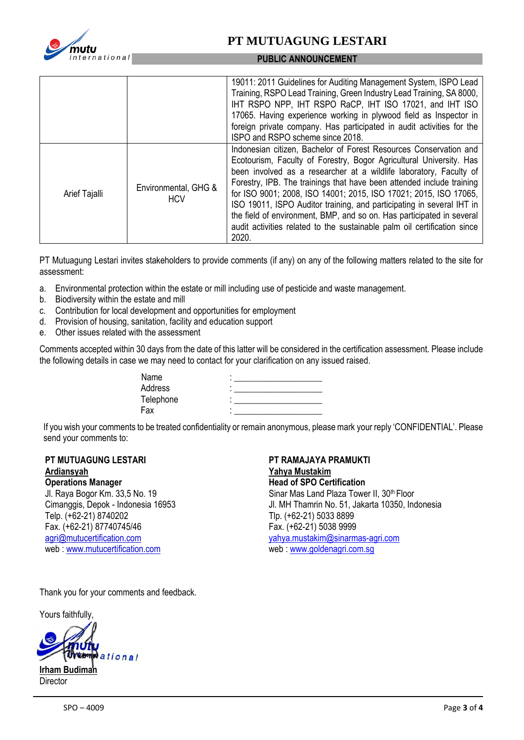

### **PT MUTUAGUNG LESTARI**

#### **PUBLIC ANNOUNCEMENT**

|               |                                    | 19011: 2011 Guidelines for Auditing Management System, ISPO Lead<br>Training, RSPO Lead Training, Green Industry Lead Training, SA 8000,<br>IHT RSPO NPP, IHT RSPO RaCP, IHT ISO 17021, and IHT ISO<br>17065. Having experience working in plywood field as Inspector in<br>foreign private company. Has participated in audit activities for the<br>ISPO and RSPO scheme since 2018.                                                                                                                                                                                                              |
|---------------|------------------------------------|----------------------------------------------------------------------------------------------------------------------------------------------------------------------------------------------------------------------------------------------------------------------------------------------------------------------------------------------------------------------------------------------------------------------------------------------------------------------------------------------------------------------------------------------------------------------------------------------------|
| Arief Tajalli | Environmental, GHG &<br><b>HCV</b> | Indonesian citizen, Bachelor of Forest Resources Conservation and<br>Ecotourism, Faculty of Forestry, Bogor Agricultural University. Has<br>been involved as a researcher at a wildlife laboratory, Faculty of<br>Forestry, IPB. The trainings that have been attended include training<br>for ISO 9001; 2008, ISO 14001; 2015, ISO 17021; 2015, ISO 17065,<br>ISO 19011, ISPO Auditor training, and participating in several IHT in<br>the field of environment, BMP, and so on. Has participated in several<br>audit activities related to the sustainable palm oil certification since<br>2020. |

PT Mutuagung Lestari invites stakeholders to provide comments (if any) on any of the following matters related to the site for assessment:

- a. Environmental protection within the estate or mill including use of pesticide and waste management.
- b. Biodiversity within the estate and mill
- c. Contribution for local development and opportunities for employment
- d. Provision of housing, sanitation, facility and education support
- e. Other issues related with the assessment

Comments accepted within 30 days from the date of this latter will be considered in the certification assessment. Please include the following details in case we may need to contact for your clarification on any issued raised.

| Name      | ۰ |
|-----------|---|
| Address   | ۰ |
| Telephone | ٠ |
| Fax       | ۰ |

If you wish your comments to be treated confidentiality or remain anonymous, please mark your reply 'CONFIDENTIAL'. Please send your comments to:

### **PT MUTUAGUNG LESTARI Ardiansyah**

**Operations Manager**

Jl. Raya Bogor Km. 33,5 No. 19 Cimanggis, Depok - Indonesia 16953 Telp. (+62-21) 8740202 Fax. (+62-21) 87740745/46 [agri@mutucertification.com](mailto:agri@mutucertification.com) web : [www.mutucertification.com](http://www.mutucertification.com/)

**PT RAMAJAYA PRAMUKTI Yahya Mustakim Head of SPO Certification** Sinar Mas Land Plaza Tower II, 30<sup>th</sup> Floor Jl. MH Thamrin No. 51, Jakarta 10350, Indonesia Tlp. (+62-21) 5033 8899 Fax. (+62-21) 5038 9999 [yahya.mustakim@sinarmas-agri.com](mailto:yahya.mustakim@sinarmas-agri.com) web [: www.g](http://www.ptpn6.com/)oldenagri.com.sg

Thank you for your comments and feedback.

Yours faithfully,

ational **Irham Budima Director**